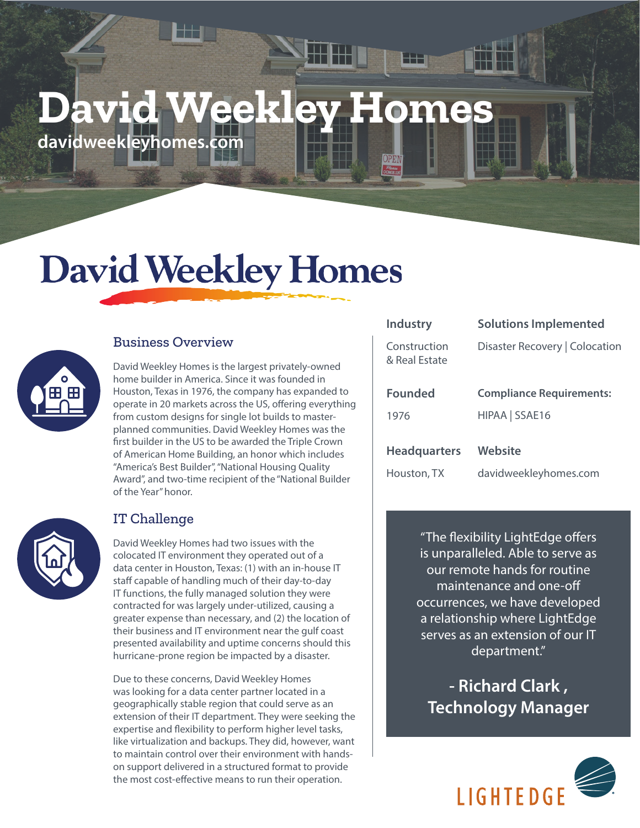# **David Weekley Homes**

**davidweekleyhomes.com**

## **David Weekley Homes**



#### Business Overview

David Weekley Homes is the largest privately-owned home builder in America. Since it was founded in Houston, Texas in 1976, the company has expanded to operate in 20 markets across the US, offering everything from custom designs for single lot builds to masterplanned communities. David Weekley Homes was the first builder in the US to be awarded the Triple Crown of American Home Building, an honor which includes "America's Best Builder", "National Housing Quality Award", and two-time recipient of the "National Builder of the Year" honor.



#### IT Challenge

David Weekley Homes had two issues with the colocated IT environment they operated out of a data center in Houston, Texas: (1) with an in-house IT staff capable of handling much of their day-to-day IT functions, the fully managed solution they were contracted for was largely under-utilized, causing a greater expense than necessary, and (2) the location of their business and IT environment near the gulf coast presented availability and uptime concerns should this hurricane-prone region be impacted by a disaster.

Due to these concerns, David Weekley Homes was looking for a data center partner located in a geographically stable region that could serve as an extension of their IT department. They were seeking the expertise and flexibility to perform higher level tasks, like virtualization and backups. They did, however, want to maintain control over their environment with handson support delivered in a structured format to provide the most cost-effective means to run their operation.

| Industry                      | <b>Solutions Implemented</b>    |
|-------------------------------|---------------------------------|
| Construction<br>& Real Estate | Disaster Recovery   Colocation  |
| <b>Founded</b>                | <b>Compliance Requirements:</b> |
| 1976                          | HIPAA SSAE16                    |
|                               |                                 |
| <b>Headquarters</b>           | Website                         |
| Houston, TX                   | davidweekleyhomes.com           |

"The flexibility LightEdge offers is unparalleled. Able to serve as our remote hands for routine maintenance and one-off occurrences, we have developed a relationship where LightEdge serves as an extension of our IT department."

**- Richard Clark , Technology Manager**